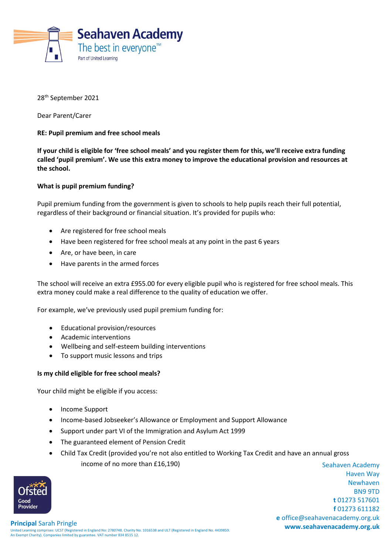

28th September 2021

Dear Parent/Carer

# **RE: Pupil premium and free school meals**

**If your child is eligible for 'free school meals' and you register them for this, we'll receive extra funding called 'pupil premium'. We use this extra money to improve the educational provision and resources at the school.** 

# **What is pupil premium funding?**

Pupil premium funding from the government is given to schools to help pupils reach their full potential, regardless of their background or financial situation. It's provided for pupils who:

- Are registered for free school meals
- Have been registered for free school meals at any point in the past 6 years
- Are, or have been, in care
- Have parents in the armed forces

The school will receive an extra £955.00 for every eligible pupil who is registered for free school meals. This extra money could make a real difference to the quality of education we offer.

For example, we've previously used pupil premium funding for:

- Educational provision/resources
- Academic interventions
- Wellbeing and self-esteem building interventions
- To support music lessons and trips

## **Is my child eligible for free school meals?**

Your child might be eligible if you access:

- Income Support
- Income-based Jobseeker's Allowance or Employment and Support Allowance
- Support under part VI of the Immigration and Asylum Act 1999
- The guaranteed element of Pension Credit
- Seahaven Academy • Child Tax Credit (provided you're not also entitled to Working Tax Credit and have an annual gross income of no more than £16,190)



Haven Way Newhaven BN9 9TD **t** 01273 517601 **f** 01273 611182 **e** office@seahavenacademy.org.uk